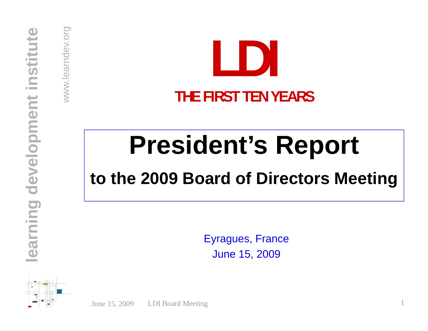www.learndev.org



## **President 's Report**

# **e**<br> **e b to the 2009 Board of Directors Meeting**

Eyragues, France<br> **d**<br>
Une 15, 2009

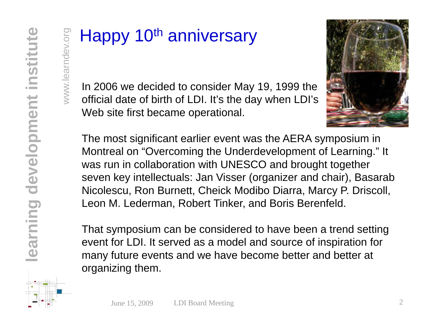$\frac{1}{2}$  Happy 10<sup>th</sup> anniversary<br>  $\frac{1}{2}$  In 2006 we decided to consider May<br>
official date of birth of LDI. It's the day  $\frac{2}{3}$  In 2006 we decided to consider May 19, 1999 the official date of birth of LDI. It's the day when LDI's  $\lessgtr$  official date of birth of LDI. It's the day when LDI's<br>Web site first became operational.



The most significant earlier event was the AERA symposium in Montreal on "Overcoming the Underdevelopment of Learning." It was run in collaboration with UNESCO and brought together seven key intellectuals: Jan Visser (organizer and chair), Basarab Nicolescu, Ron Burnett, Cheick Modi Nicolescu, Ron Burnett, Cheick Modibo Diarra, Marcy P. Driscoll,<br>Leon M. Lederman, Robert Tinker, and Boris Berenfeld.<br>That symposium can be considered to have been a trend setting

That symposium can be considered to have bee<br>event for LDI. It served as a model and source o<br>many future events and we have become better event for LDI. It served as a model and source of inspiration for many future events and we have become better and better at organizing them.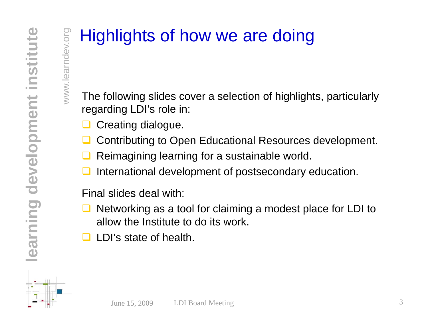www.learndev.org

### Highlights of how we are doing

The following slides cover a selection of highlights, particularly regarding LDI's role in:

- $\Box$ Creating dialogue.
- $\Box$ **□** Contributing to Open Educational Resources development.
- $\Box$ **Q** Reimagining learning for a sustainable world.
- **developed** Contributing to Open Educational Resources developed and Reimagining learning for a sustainable world.<br> **development of postsecondary education**<br> **development of postsecondary education**<br> **development of postse**  $\Box$ International development of postsecondary education.

- **o**<br>Final slides deal with:<br>**allow the Institute**  $\Box$ ■ Networking as a tool for claiming a modest place for LDI to allow the Institute to do its work.
	- $\Box$ LDI's state of health.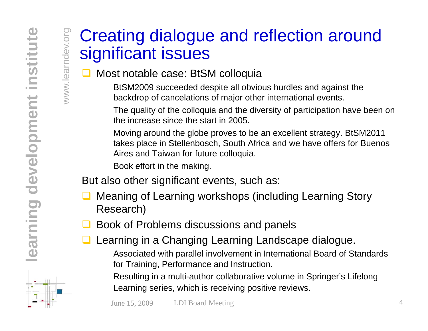www.learndev.org

#### Creating dialogue and reflection around gnificant issues g

#### $\Box$ Most notable case: BtSM colloquia

BtSM2009 succeeded despite all obvious hurdles and against the backdrop of cancelations of major other international events.

The quality of the colloquia and the diversity of participation have been on the increase since the start in 2005.

Moving around the globe proves to be an excellent strategy. BtSM2011 takes place in Stellenbosch, South Africa and we have offers for Buenos<br>
Aires and Taiwan for future colloquia.<br>
Book effort in the making.<br>
But also other significant events, such as:

But also other significant events, such as:

- $\Box$  Meaning of Learning workshops (including Learning Story Research)
- $\Box$ Book of Problems discussions and panels
- **learning in a Changing Learning Landscape dialogue.**<br> **a** Learning in a Changing Learning Landscape dialogue.<br>
Associated with parallel involvement in International Board of St

Associated with parallel involvement in International Board of Standards for Training, Performance and Instruction.

Resulting in a multi-author collaborative volume in Springer's Lifelong Learning series, which is receiving positive reviews.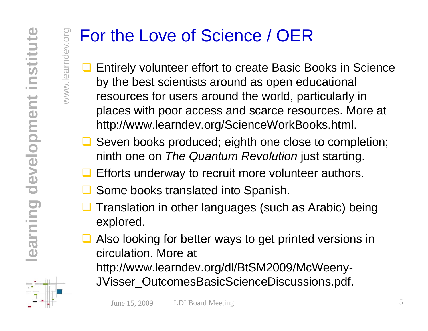www.learndev.org

### For the Love of Science / OER

- $\Box$  Entirely volunteer effort to create Basic Books in Science by the best scientists around as open educational resources for users around the world, particularly in places with poor access and scarce resources. More at http://www.learndev.org/ScienceWorkBooks.html.
- **□** Seven books produced; eighth one close to completion; **developments on** *The Quantum Revolution* just starting.<br> **a** Efforts underway to recruit more volunteer authors.<br> **a** Some books translated into Spanish.
	- **Efforts underway to recruit more volunteer authors.**
	- $\Box$ **Q** Some books translated into Spanish.
	- $\Box$  Translation in other languages (such as Arabic) being ex plored.
	- **Q** Also looking for better ways to get printed versions in circulation. More at http://www learndev org/dl/BtSM2009/McWeeny http://www.learndev.org/dl/BtSM2009/McWeeny - JVisser\_OutcomesBasicScienceDiscussions.pdf.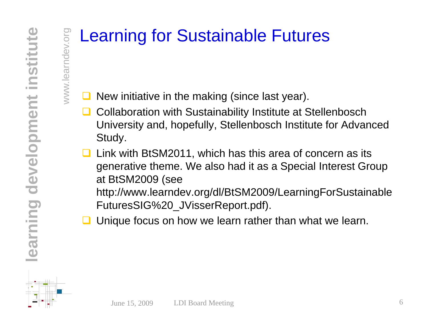www.learndev.org

#### Learning for Sustainable Futures

 $\Box$ New initiative in the making (since last year).

- $\Box$  Collaboration with Sustainability Institute at Stellenbosch University and, hopefully, Stellenbosch Institute for Advanced Study.
- $\Box$  Link with BtSM2011, which has this area of concern as its generative theme. We also had it as a Special Interest Group at BtSM2009 (see

http://www.learndev.org/dl/BtSM2009/LearningForSustainable<br>FuturesSIG%20\_JVisserReport.pdf).

 $\Box$ Unique focus on how we learn rather than what we learn.

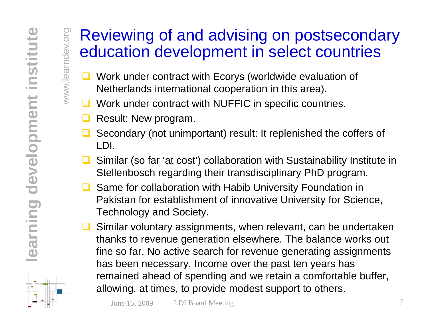www.learndev.org

# Reviewing of and advising on postsecondary<br>education development in select countries

- **Q** Work under contract with Ecorys (worldwide evaluation of Netherlands international cooperation in this area).
- **Q** Work under contract with NUFFIC in specific countries.
- $\Box$ Result: New program.
- $\Box$  Secondary (not unimportant) result: It replenished the coffers of LDI.
- $\Box$  Similar (so far 'at cost') collaboration with Sustainability Institute in Stellenbosch regarding their transdisciplinary PhD program.
- $\Box$  Same for collaboration with Habib University Foundation in **ning device the formulation Exercise of the Formulation Collaboration with Habib University Foundation in<br>
Pakistan for establishment of innovative University for Science,<br>
Technology and Society.<br>
Similar voluntary assig**
- **learn of the relevant of the University for Science,**<br>Technology and Society.<br>**assignments**, when relevant, can be undertaken<br>thanks to revenue generation elsewhere. The balance works out<br>fine so far. No active search for ry. Income over the past ten years has remained ahead of spending and we retain a comfortable buffer, allowing, at times, to provide modest support to others.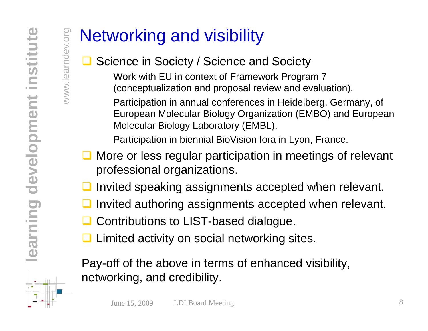www.learndev.org

### Networking and visibility

#### $\Box$ **□** Science in Society / Science and Society

Work with EU in context of Framework Program 7 (conceptualization and proposal review and evaluation).

Participation in annual conferences in Heidelberg, Germany, of European Molecular Biology Organization (EMBO) and European Molecular Biology Laboratory (EMBL).

Participation in biennial BioVision fora in Lyon, France.

- **Q** More or less regular participation in meetings of relevant professional organizations.
- $\Box$ Invited speaking assignments accepted when relevant
- **n** Invited speaking assignments accepted when relevant.<br> **n** Invited authoring assignments accepted when relevant<br> **a** Contributions to LIST-based dialogue.  $\Box$ **Q** Invited authoring assignments accepted when relevant.
	- $\Box$ Contributions to LIST-based dialogue.
	- $\Box$ Limited activity on social networking sites.

Pa y-off of the above in terms of enhanced visibilit y, networking, and credibility.